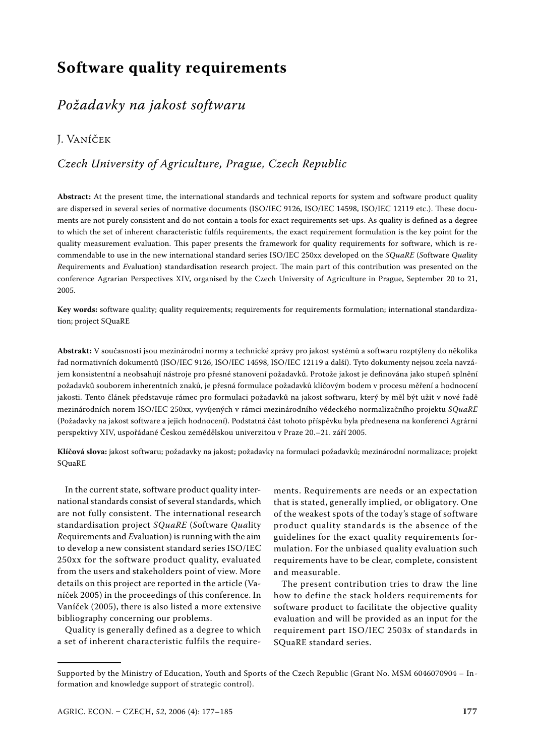# **Software quality requirements**

## *Požadavky na jakost softwaru*

## J. VANÍČEK

## *Czech University of Agriculture, Prague, Czech Republic*

**Abstract:** At the present time, the international standards and technical reports for system and software product quality are dispersed in several series of normative documents (ISO/IEC 9126, ISO/IEC 14598, ISO/IEC 12119 etc.). These documents are not purely consistent and do not contain a tools for exact requirements set-ups. As quality is defined as a degree to which the set of inherent characteristic fulfils requirements, the exact requirement formulation is the key point for the quality measurement evaluation. This paper presents the framework for quality requirements for software, which is recommendable to use in the new international standard series ISO/IEC 250xx developed on the *SQuaRE* (*S*oftware *Qua*lity *R*equirements and *E*valuation) standardisation research project. The main part of this contribution was presented on the conference Agrarian Perspectives XIV, organised by the Czech University of Agriculture in Prague, September 20 to 21, 2005.

**Key words:** software quality; quality requirements; requirements for requirements formulation; international standardization; project SQuaRE

**Abstrakt:** V současnosti jsou mezinárodní normy a technické zprávy pro jakost systémů a softwaru rozptýleny do několika řad normativních dokumentů (ISO/IEC 9126, ISO/IEC 14598, ISO/IEC 12119 a další). Tyto dokumenty nejsou zcela navzájem konsistentní a neobsahují nástroje pro přesné stanovení požadavků. Protože jakost je definována jako stupeň splnění požadavků souborem inherentních znaků, je přesná formulace požadavků klíčovým bodem v procesu měření a hodnocení jakosti. Tento článek představuje rámec pro formulaci požadavků na jakost softwaru, který by měl být užit v nové řadě mezinárodních norem ISO/IEC 250xx, vyvíjených v rámci mezinárodního vědeckého normalizačního projektu *SQuaRE*  (Požadavky na jakost software a jejich hodnocení). Podstatná část tohoto příspěvku byla přednesena na konferenci Agrární perspektivy XIV, uspořádané Českou zemědělskou univerzitou v Praze 20.–21. září 2005.

**Klíčová slova:** jakost softwaru; požadavky na jakost; požadavky na formulaci požadavků; mezinárodní normalizace; projekt SQuaRE

In the current state, software product quality international standards consist of several standards, which are not fully consistent. The international research standardisation project *SQuaRE* (*S*oftware *Qua*lity *R*equirements and *E*valuation) is running with the aim to develop a new consistent standard series ISO/IEC 250xx for the software product quality, evaluated from the users and stakeholders point of view. More details on this project are reported in the article (Vaníček 2005) in the proceedings of this conference. In Vaníček (2005), there is also listed a more extensive bibliography concerning our problems.

Quality is generally defined as a degree to which a set of inherent characteristic fulfils the require-

ments. Requirements are needs or an expectation that is stated, generally implied, or obligatory. One of the weakest spots of the today's stage of software product quality standards is the absence of the guidelines for the exact quality requirements formulation. For the unbiased quality evaluation such requirements have to be clear, complete, consistent and measurable.

The present contribution tries to draw the line how to define the stack holders requirements for software product to facilitate the objective quality evaluation and will be provided as an input for the requirement part ISO/IEC 2503x of standards in SQuaRE standard series.

Supported by the Ministry of Education, Youth and Sports of the Czech Republic (Grant No. MSM 6046070904 – Information and knowledge support of strategic control).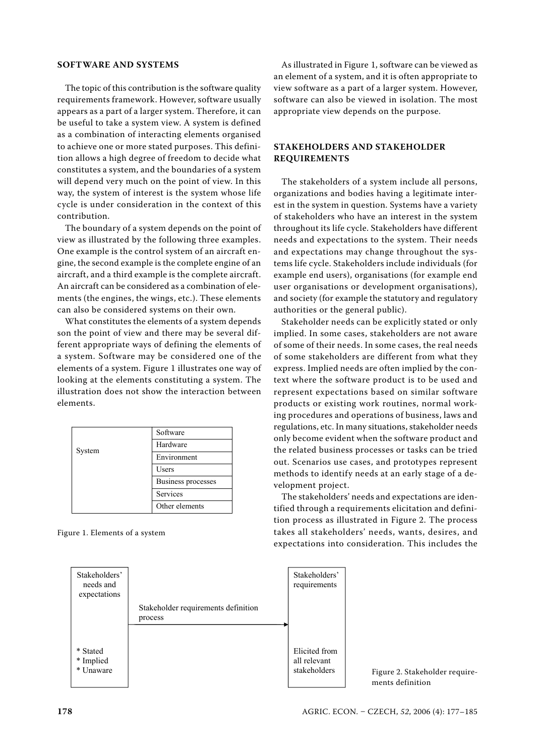#### **SOFTWARE AND SYSTEMS**

The topic of this contribution is the software quality requirements framework. However, software usually appears as a part of a larger system. Therefore, it can be useful to take a system view. A system is defined as a combination of interacting elements organised to achieve one or more stated purposes. This definition allows a high degree of freedom to decide what constitutes a system, and the boundaries of a system will depend very much on the point of view. In this way, the system of interest is the system whose life cycle is under consideration in the context of this contribution.

The boundary of a system depends on the point of view as illustrated by the following three examples. One example is the control system of an aircraft engine, the second example is the complete engine of an aircraft, and a third example is the complete aircraft. An aircraft can be considered as a combination of elements (the engines, the wings, etc.). These elements can also be considered systems on their own.

What constitutes the elements of a system depends son the point of view and there may be several different appropriate ways of defining the elements of a system. Software may be considered one of the elements of a system. Figure 1 illustrates one way of looking at the elements constituting a system. The illustration does not show the interaction between elements.

|        | Software                  |
|--------|---------------------------|
| System | Hardware                  |
|        | Environment               |
|        | Users                     |
|        | <b>Business processes</b> |
|        | Services                  |
|        | Other elements            |

Figure 1. Elements of a system

As illustrated in Figure 1, software can be viewed as an element of a system, and it is often appropriate to view software as a part of a larger system. However, software can also be viewed in isolation. The most appropriate view depends on the purpose.

## **STAKEHOLDERS AND STAKEHOLDER REQUIREMENTS**

The stakeholders of a system include all persons, organizations and bodies having a legitimate interest in the system in question. Systems have a variety of stakeholders who have an interest in the system throughout its life cycle. Stakeholders have different needs and expectations to the system. Their needs and expectations may change throughout the systems life cycle. Stakeholders include individuals (for example end users), organisations (for example end user organisations or development organisations), and society (for example the statutory and regulatory authorities or the general public).

Stakeholder needs can be explicitly stated or only implied. In some cases, stakeholders are not aware of some of their needs. In some cases, the real needs of some stakeholders are different from what they express. Implied needs are often implied by the context where the software product is to be used and represent expectations based on similar software products or existing work routines, normal working procedures and operations of business, laws and regulations, etc. In many situations, stakeholder needs only become evident when the software product and the related business processes or tasks can be tried out. Scenarios use cases, and prototypes represent methods to identify needs at an early stage of a development project.

The stakeholders' needs and expectations are identified through a requirements elicitation and definition process as illustrated in Figure 2. The process takes all stakeholders' needs, wants, desires, and expectations into consideration. This includes the



ments definition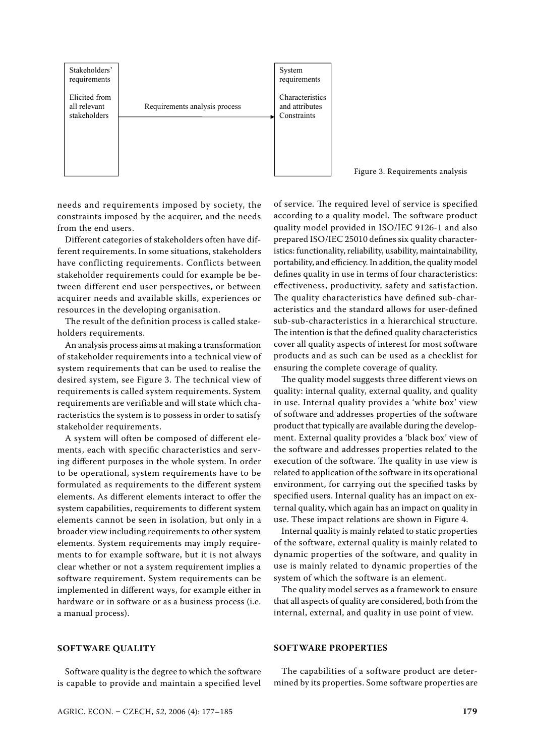

Figure 3. Requirements analysis

needs and requirements imposed by society, the constraints imposed by the acquirer, and the needs from the end users.

Different categories of stakeholders often have different requirements. In some situations, stakeholders have conflicting requirements. Conflicts between stakeholder requirements could for example be between different end user perspectives, or between acquirer needs and available skills, experiences or resources in the developing organisation.

The result of the definition process is called stakeholders requirements.

An analysis process aims at making a transformation of stakeholder requirements into a technical view of system requirements that can be used to realise the desired system, see Figure 3. The technical view of requirements is called system requirements. System requirements are verifiable and will state which characteristics the system is to possess in order to satisfy stakeholder requirements.

A system will often be composed of different elements, each with specific characteristics and serving different purposes in the whole system. In order to be operational, system requirements have to be formulated as requirements to the different system elements. As different elements interact to offer the system capabilities, requirements to different system elements cannot be seen in isolation, but only in a broader view including requirements to other system elements. System requirements may imply requirements to for example software, but it is not always clear whether or not a system requirement implies a software requirement. System requirements can be implemented in different ways, for example either in hardware or in software or as a business process (i.e. a manual process).

#### **SOFTWARE QUALITY**

Software quality is the degree to which the software is capable to provide and maintain a specified level

of service. The required level of service is specified according to a quality model. The software product quality model provided in ISO/IEC 9126-1 and also prepared ISO/IEC 25010 defines six quality characteristics: functionality, reliability, usability, maintainability, portability, and efficiency. In addition, the quality model defines quality in use in terms of four characteristics: effectiveness, productivity, safety and satisfaction. The quality characteristics have defined sub-characteristics and the standard allows for user-defined sub-sub-characteristics in a hierarchical structure. The intention is that the defined quality characteristics cover all quality aspects of interest for most software products and as such can be used as a checklist for ensuring the complete coverage of quality.

The quality model suggests three different views on quality: internal quality, external quality, and quality in use. Internal quality provides a 'white box' view of software and addresses properties of the software product that typically are available during the development. External quality provides a 'black box' view of the software and addresses properties related to the execution of the software. The quality in use view is related to application of the software in its operational environment, for carrying out the specified tasks by specified users. Internal quality has an impact on external quality, which again has an impact on quality in use. These impact relations are shown in Figure 4.

Internal quality is mainly related to static properties of the software, external quality is mainly related to dynamic properties of the software, and quality in use is mainly related to dynamic properties of the system of which the software is an element.

The quality model serves as a framework to ensure that all aspects of quality are considered, both from the internal, external, and quality in use point of view.

#### **SOFTWARE PROPERTIES**

The capabilities of a software product are determined by its properties. Some software properties are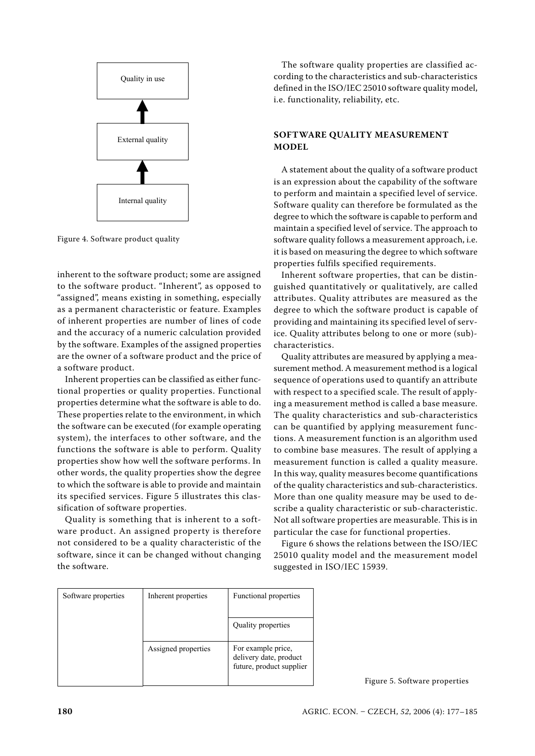

Figure 4. Software product quality

inherent to the software product; some are assigned to the software product. "Inherent", as opposed to "assigned", means existing in something, especially as a permanent characteristic or feature. Examples of inherent properties are number of lines of code and the accuracy of a numeric calculation provided by the software. Examples of the assigned properties are the owner of a software product and the price of a software product.

Inherent properties can be classified as either functional properties or quality properties. Functional properties determine what the software is able to do. These properties relate to the environment, in which the software can be executed (for example operating system), the interfaces to other software, and the functions the software is able to perform. Quality properties show how well the software performs. In other words, the quality properties show the degree to which the software is able to provide and maintain its specified services. Figure 5 illustrates this classification of software properties.

Quality is something that is inherent to a software product. An assigned property is therefore not considered to be a quality characteristic of the software, since it can be changed without changing the software.

The software quality properties are classified according to the characteristics and sub-characteristics defined in the ISO/IEC 25010 software quality model, i.e. functionality, reliability, etc.

## **SOFTWARE QUALITY MEASUREMENT MODEL**

A statement about the quality of a software product is an expression about the capability of the software to perform and maintain a specified level of service. Software quality can therefore be formulated as the degree to which the software is capable to perform and maintain a specified level of service. The approach to software quality follows a measurement approach, i.e. it is based on measuring the degree to which software properties fulfils specified requirements.

Inherent software properties, that can be distinguished quantitatively or qualitatively, are called attributes. Quality attributes are measured as the degree to which the software product is capable of providing and maintaining its specified level of service. Quality attributes belong to one or more (sub) characteristics.

Quality attributes are measured by applying a measurement method. A measurement method is a logical sequence of operations used to quantify an attribute with respect to a specified scale. The result of applying a measurement method is called a base measure. The quality characteristics and sub-characteristics can be quantified by applying measurement functions. A measurement function is an algorithm used to combine base measures. The result of applying a measurement function is called a quality measure. In this way, quality measures become quantifications of the quality characteristics and sub-characteristics. More than one quality measure may be used to describe a quality characteristic or sub-characteristic. Not all software properties are measurable. This is in particular the case for functional properties.

Figure 6 shows the relations between the ISO/IEC 25010 quality model and the measurement model suggested in ISO/IEC 15939.

| Software properties | Inherent properties | <b>Functional properties</b>                                             |
|---------------------|---------------------|--------------------------------------------------------------------------|
|                     |                     | <b>Quality</b> properties                                                |
|                     | Assigned properties | For example price,<br>delivery date, product<br>future, product supplier |

Figure 5. Software properties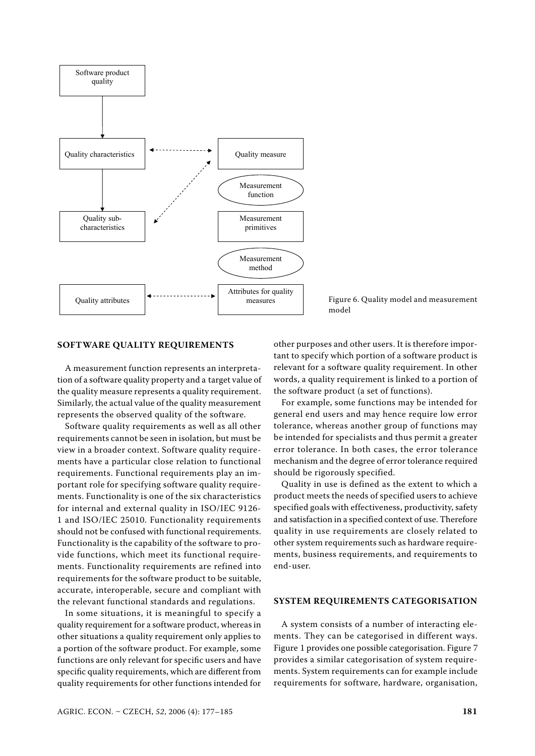

Figure 6. Quality model and measurement model

#### **SOFTWARE QUALITY REQUIREMENTS**

A measurement function represents an interpretation of a software quality property and a target value of the quality measure represents a quality requirement. Similarly, the actual value of the quality measurement represents the observed quality of the software.

Software quality requirements as well as all other requirements cannot be seen in isolation, but must be view in a broader context. Software quality requirements have a particular close relation to functional requirements. Functional requirements play an important role for specifying software quality requirements. Functionality is one of the six characteristics for internal and external quality in ISO/IEC 9126- 1 and ISO/IEC 25010. Functionality requirements should not be confused with functional requirements. Functionality is the capability of the software to provide functions, which meet its functional requirements. Functionality requirements are refined into requirements for the software product to be suitable, accurate, interoperable, secure and compliant with the relevant functional standards and regulations.

In some situations, it is meaningful to specify a quality requirement for a software product, whereas in other situations a quality requirement only applies to a portion of the software product. For example, some functions are only relevant for specific users and have specific quality requirements, which are different from quality requirements for other functions intended for other purposes and other users. It is therefore important to specify which portion of a software product is relevant for a software quality requirement. In other words, a quality requirement is linked to a portion of the software product (a set of functions).

For example, some functions may be intended for general end users and may hence require low error tolerance, whereas another group of functions may be intended for specialists and thus permit a greater error tolerance. In both cases, the error tolerance mechanism and the degree of error tolerance required should be rigorously specified.

Quality in use is defined as the extent to which a product meets the needs of specified users to achieve specified goals with effectiveness, productivity, safety and satisfaction in a specified context of use. Therefore quality in use requirements are closely related to other system requirements such as hardware requirements, business requirements, and requirements to end-user.

#### **SYSTEM REQUIREMENTS CATEGORISATION**

A system consists of a number of interacting elements. They can be categorised in different ways. Figure 1 provides one possible categorisation. Figure 7 provides a similar categorisation of system requirements. System requirements can for example include requirements for software, hardware, organisation,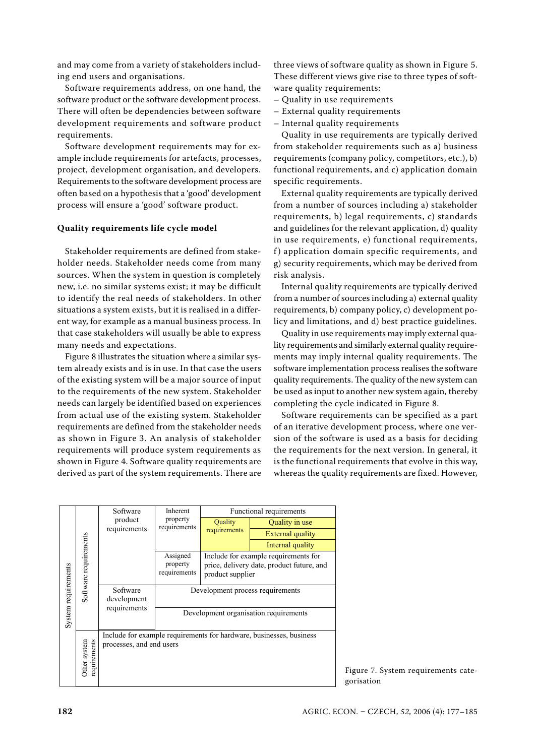and may come from a variety of stakeholders including end users and organisations.

Software requirements address, on one hand, the software product or the software development process. There will often be dependencies between software development requirements and software product requirements.

Software development requirements may for example include requirements for artefacts, processes, project, development organisation, and developers. Requirements to the software development process are often based on a hypothesis that a 'good' development process will ensure a 'good' software product.

#### **Quality requirements life cycle model**

Stakeholder requirements are defined from stakeholder needs. Stakeholder needs come from many sources. When the system in question is completely new, i.e. no similar systems exist; it may be difficult to identify the real needs of stakeholders. In other situations a system exists, but it is realised in a different way, for example as a manual business process. In that case stakeholders will usually be able to express many needs and expectations.

Figure 8 illustrates the situation where a similar system already exists and is in use. In that case the users of the existing system will be a major source of input to the requirements of the new system. Stakeholder needs can largely be identified based on experiences from actual use of the existing system. Stakeholder requirements are defined from the stakeholder needs as shown in Figure 3. An analysis of stakeholder requirements will produce system requirements as shown in Figure 4. Software quality requirements are derived as part of the system requirements. There are

three views of software quality as shown in Figure 5. These different views give rise to three types of software quality requirements:

- Quality in use requirements
- External quality requirements
- Internal quality requirements

Quality in use requirements are typically derived from stakeholder requirements such as a) business requirements (company policy, competitors, etc.), b) functional requirements, and c) application domain specific requirements.

External quality requirements are typically derived from a number of sources including a) stakeholder requirements, b) legal requirements, c) standards and guidelines for the relevant application, d) quality in use requirements, e) functional requirements, f) application domain specific requirements, and g) security requirements, which may be derived from risk analysis.

Internal quality requirements are typically derived from a number of sources including a) external quality requirements, b) company policy, c) development policy and limitations, and d) best practice guidelines.

Quality in use requirements may imply external quality requirements and similarly external quality requirements may imply internal quality requirements. The software implementation process realises the software quality requirements. The quality of the new system can be used as input to another new system again, thereby completing the cycle indicated in Figure 8.

Software requirements can be specified as a part of an iterative development process, where one version of the software is used as a basis for deciding the requirements for the next version. In general, it is the functional requirements that evolve in this way, whereas the quality requirements are fixed. However,

| System requirements |                              | Software                                                                                        | Inherent<br>property<br>product<br>requirements<br>requirements | Functional requirements                                                                               |                         |
|---------------------|------------------------------|-------------------------------------------------------------------------------------------------|-----------------------------------------------------------------|-------------------------------------------------------------------------------------------------------|-------------------------|
|                     |                              |                                                                                                 |                                                                 | Quality<br>requirements                                                                               | Quality in use          |
|                     |                              |                                                                                                 |                                                                 |                                                                                                       | <b>External quality</b> |
|                     |                              |                                                                                                 |                                                                 |                                                                                                       | Internal quality        |
|                     | Software requirements        |                                                                                                 | Assigned<br>property<br>requirements                            | Include for example requirements for<br>price, delivery date, product future, and<br>product supplier |                         |
|                     |                              | Software<br>development                                                                         | Development process requirements                                |                                                                                                       |                         |
|                     |                              | requirements                                                                                    | Development organisation requirements                           |                                                                                                       |                         |
|                     | Other system<br>requirements | Include for example requirements for hardware, businesses, business<br>processes, and end users |                                                                 |                                                                                                       |                         |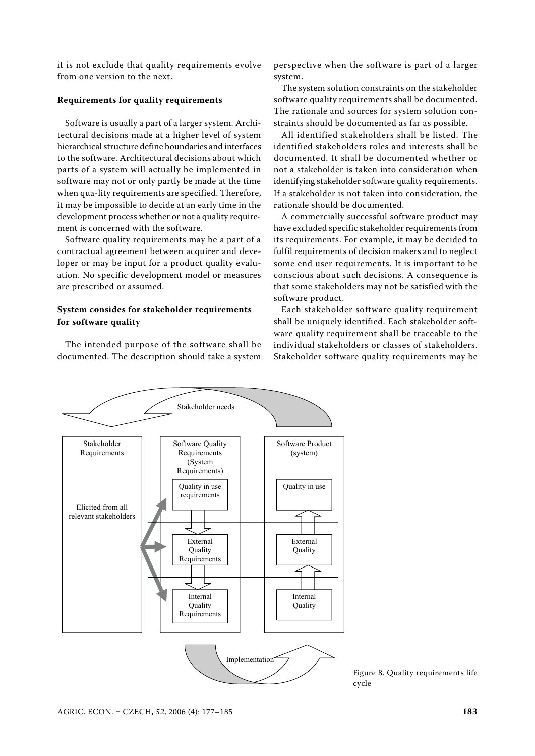it is not exclude that quality requirements evolve from one version to the next.

#### **Requirements for quality requirements**

Software is usually a part of a larger system. Architectural decisions made at a higher level of system hierarchical structure define boundaries and interfaces to the software. Architectural decisions about which parts of a system will actually be implemented in software may not or only partly be made at the time when qua-lity requirements are specified. Therefore, it may be impossible to decide at an early time in the development process whether or not a quality requirement is concerned with the software.

Software quality requirements may be a part of a contractual agreement between acquirer and developer or may be input for a product quality evaluation. No specific development model or measures are prescribed or assumed.

#### **System consides for stakeholder requirements for software quality**

The intended purpose of the software shall be documented. The description should take a system

perspective when the software is part of a larger system.

The system solution constraints on the stakeholder software quality requirements shall be documented. The rationale and sources for system solution constraints should be documented as far as possible.

All identified stakeholders shall be listed. The identified stakeholders roles and interests shall be documented. It shall be documented whether or not a stakeholder is taken into consideration when identifying stakeholder software quality requirements. If a stakeholder is not taken into consideration, the rationale should be documented.

A commercially successful software product may have excluded specific stakeholder requirements from its requirements. For example, it may be decided to fulfil requirements of decision makers and to neglect some end user requirements. It is important to be conscious about such decisions. A consequence is that some stakeholders may not be satisfied with the software product.

Each stakeholder software quality requirement shall be uniquely identified. Each stakeholder software quality requirement shall be traceable to the individual stakeholders or classes of stakeholders. Stakeholder software quality requirements may be



Figure 8. Quality requirements life cycle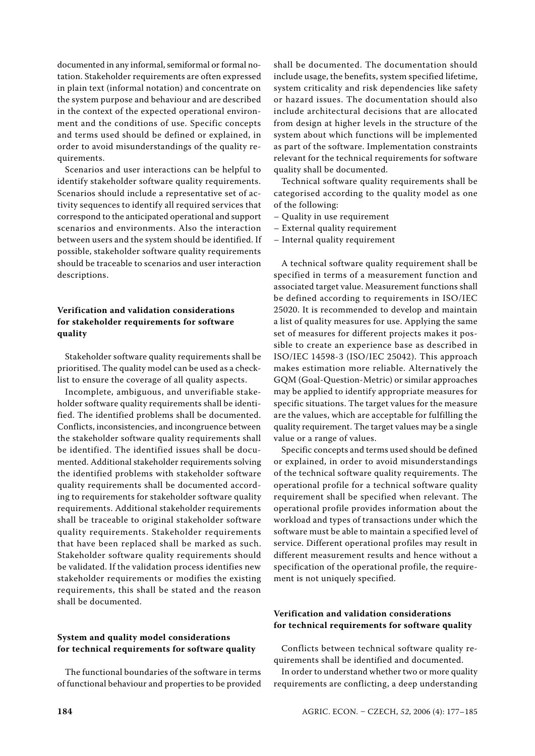documented in any informal, semiformal or formal notation. Stakeholder requirements are often expressed in plain text (informal notation) and concentrate on the system purpose and behaviour and are described in the context of the expected operational environment and the conditions of use. Specific concepts and terms used should be defined or explained, in order to avoid misunderstandings of the quality requirements.

Scenarios and user interactions can be helpful to identify stakeholder software quality requirements. Scenarios should include a representative set of activity sequences to identify all required services that correspond to the anticipated operational and support scenarios and environments. Also the interaction between users and the system should be identified. If possible, stakeholder software quality requirements should be traceable to scenarios and user interaction descriptions.

## **Verification and validation considerations for stakeholder requirements for software quality**

Stakeholder software quality requirements shall be prioritised. The quality model can be used as a checklist to ensure the coverage of all quality aspects.

Incomplete, ambiguous, and unverifiable stakeholder software quality requirements shall be identified. The identified problems shall be documented. Conflicts, inconsistencies, and incongruence between the stakeholder software quality requirements shall be identified. The identified issues shall be documented. Additional stakeholder requirements solving the identified problems with stakeholder software quality requirements shall be documented according to requirements for stakeholder software quality requirements. Additional stakeholder requirements shall be traceable to original stakeholder software quality requirements. Stakeholder requirements that have been replaced shall be marked as such. Stakeholder software quality requirements should be validated. If the validation process identifies new stakeholder requirements or modifies the existing requirements, this shall be stated and the reason shall be documented.

#### **System and quality model considerations for technical requirements for software quality**

The functional boundaries of the software in terms of functional behaviour and properties to be provided

shall be documented. The documentation should include usage, the benefits, system specified lifetime, system criticality and risk dependencies like safety or hazard issues. The documentation should also include architectural decisions that are allocated from design at higher levels in the structure of the system about which functions will be implemented as part of the software. Implementation constraints relevant for the technical requirements for software quality shall be documented.

Technical software quality requirements shall be categorised according to the quality model as one of the following:

- Quality in use requirement
- External quality requirement
- Internal quality requirement

A technical software quality requirement shall be specified in terms of a measurement function and associated target value. Measurement functions shall be defined according to requirements in ISO/IEC 25020. It is recommended to develop and maintain a list of quality measures for use. Applying the same set of measures for different projects makes it possible to create an experience base as described in ISO/IEC 14598-3 (ISO/IEC 25042). This approach makes estimation more reliable. Alternatively the GQM (Goal-Question-Metric) or similar approaches may be applied to identify appropriate measures for specific situations. The target values for the measure are the values, which are acceptable for fulfilling the quality requirement. The target values may be a single value or a range of values.

Specific concepts and terms used should be defined or explained, in order to avoid misunderstandings of the technical software quality requirements. The operational profile for a technical software quality requirement shall be specified when relevant. The operational profile provides information about the workload and types of transactions under which the software must be able to maintain a specified level of service. Different operational profiles may result in different measurement results and hence without a specification of the operational profile, the requirement is not uniquely specified.

## **Verification and validation considerations for technical requirements for software quality**

Conflicts between technical software quality requirements shall be identified and documented.

In order to understand whether two or more quality requirements are conflicting, a deep understanding